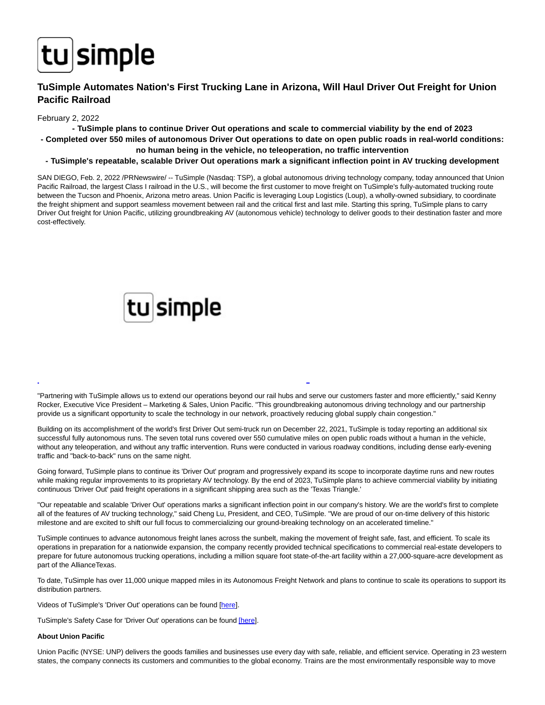

## **TuSimple Automates Nation's First Trucking Lane in Arizona, Will Haul Driver Out Freight for Union Pacific Railroad**

### February 2, 2022

**- TuSimple plans to continue Driver Out operations and scale to commercial viability by the end of 2023**

- **Completed over 550 miles of autonomous Driver Out operations to date on open public roads in real-world conditions: no human being in the vehicle, no teleoperation, no traffic intervention**
- **TuSimple's repeatable, scalable Driver Out operations mark a significant inflection point in AV trucking development**

SAN DIEGO, Feb. 2, 2022 /PRNewswire/ -- TuSimple (Nasdaq: TSP), a global autonomous driving technology company, today announced that Union Pacific Railroad, the largest Class I railroad in the U.S., will become the first customer to move freight on TuSimple's fully-automated trucking route between the Tucson and Phoenix, Arizona metro areas. Union Pacific is leveraging Loup Logistics (Loup), a wholly-owned subsidiary, to coordinate the freight shipment and support seamless movement between rail and the critical first and last mile. Starting this spring, TuSimple plans to carry Driver Out freight for Union Pacific, utilizing groundbreaking AV (autonomous vehicle) technology to deliver goods to their destination faster and more cost-effectively.

# tu simple

"Partnering with TuSimple allows us to extend our operations beyond our rail hubs and serve our customers faster and more efficiently," said Kenny Rocker, Executive Vice President – Marketing & Sales, Union Pacific. "This groundbreaking autonomous driving technology and our partnership provide us a significant opportunity to scale the technology in our network, proactively reducing global supply chain congestion."

L

Building on its accomplishment of the world's first Driver Out semi-truck run on December 22, 2021, TuSimple is today reporting an additional six successful fully autonomous runs. The seven total runs covered over 550 cumulative miles on open public roads without a human in the vehicle, without any teleoperation, and without any traffic intervention. Runs were conducted in various roadway conditions, including dense early-evening traffic and "back-to-back" runs on the same night.

Going forward, TuSimple plans to continue its 'Driver Out' program and progressively expand its scope to incorporate daytime runs and new routes while making regular improvements to its proprietary AV technology. By the end of 2023, TuSimple plans to achieve commercial viability by initiating continuous 'Driver Out' paid freight operations in a significant shipping area such as the 'Texas Triangle.'

"Our repeatable and scalable 'Driver Out' operations marks a significant inflection point in our company's history. We are the world's first to complete all of the features of AV trucking technology," said Cheng Lu, President, and CEO, TuSimple. "We are proud of our on-time delivery of this historic milestone and are excited to shift our full focus to commercializing our ground-breaking technology on an accelerated timeline."

TuSimple continues to advance autonomous freight lanes across the sunbelt, making the movement of freight safe, fast, and efficient. To scale its operations in preparation for a nationwide expansion, the company recently provided technical specifications to commercial real-estate developers to prepare for future autonomous trucking operations, including a million square foot state-of-the-art facility within a 27,000-square-acre development as part of the AllianceTexas.

To date, TuSimple has over 11,000 unique mapped miles in its Autonomous Freight Network and plans to continue to scale its operations to support its distribution partners.

Videos of TuSimple's 'Driver Out' operations can be found [\[here\].](https://c212.net/c/link/?t=0&l=en&o=3431564-1&h=993564156&u=https%3A%2F%2Fyoutube.com%2Fplaylist%3Flist%3DPLZMaa5B165Ps_PoShcA-o6PTU6W16A6hb&a=here)

TuSimple's Safety Case for 'Driver Out' operations can be foun[d \[here\].](https://c212.net/c/link/?t=0&l=en&o=3431564-1&h=2817463357&u=https%3A%2F%2Fwww.tusimple.com%2Fwp-content%2Fuploads%2F2021%2F12%2FTuSimple_Driver_Out_Pilot_Safety_Framework.pdf&a=%5Bhere)

#### **About Union Pacific**

Union Pacific (NYSE: UNP) delivers the goods families and businesses use every day with safe, reliable, and efficient service. Operating in 23 western states, the company connects its customers and communities to the global economy. Trains are the most environmentally responsible way to move